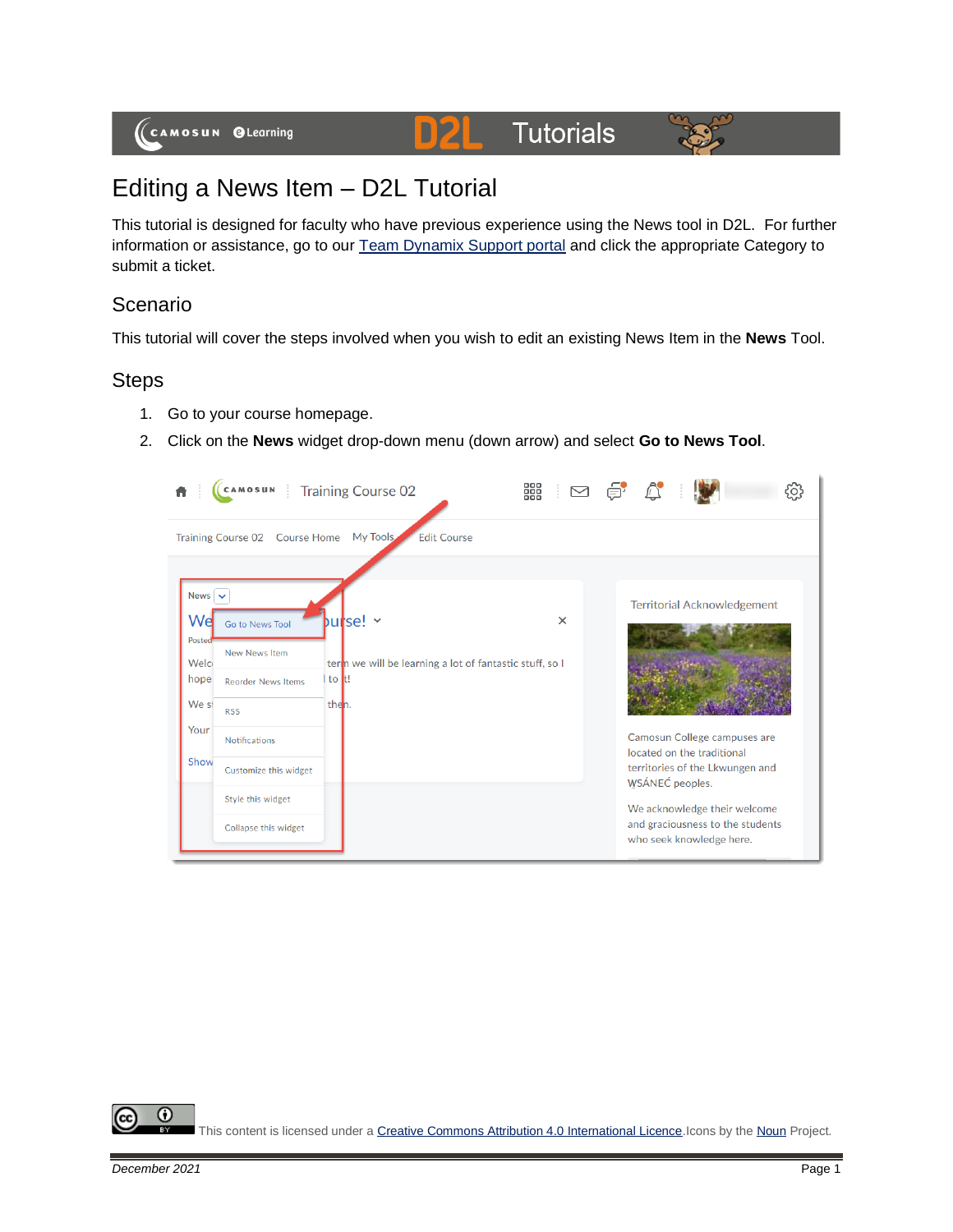#### **Tutorials 21**



# Editing a News Item – D2L Tutorial

This tutorial is designed for faculty who have previous experience using the News tool in D2L. For further information or assistance, go to our [Team Dynamix Support portal](https://camosun.teamdynamix.com/TDClient/67/Portal/Requests/ServiceCatalog?CategoryID=523) and click the appropriate Category to submit a ticket.

D

### Scenario

This tutorial will cover the steps involved when you wish to edit an existing News Item in the **News** Tool.

## **Steps**

- 1. Go to your course homepage.
- 2. Click on the **News** widget drop-down menu (down arrow) and select **Go to News Tool**.

|                                                                                         | CAMOSUN Training Course 02                                                                                                                                                |                                                                                               | 888<br>⊠ |                                                                                                                                                                                                                                                        |  |  |  |  |
|-----------------------------------------------------------------------------------------|---------------------------------------------------------------------------------------------------------------------------------------------------------------------------|-----------------------------------------------------------------------------------------------|----------|--------------------------------------------------------------------------------------------------------------------------------------------------------------------------------------------------------------------------------------------------------|--|--|--|--|
| My Tools<br><b>Edit Course</b><br>Training Course 02 Course Home                        |                                                                                                                                                                           |                                                                                               |          |                                                                                                                                                                                                                                                        |  |  |  |  |
| News $\vert \mathbf{v} \vert$<br>Wel<br>Postec<br>Welc<br>hope<br>We st<br>Your<br>Show | Go to News Tool<br>New News Item<br><b>Reorder News Items</b><br><b>RSS</b><br><b>Notifications</b><br>Customize this widget<br>Style this widget<br>Collapse this widget | $butse! \sim$<br>term we will be learning a lot of fantastic stuff, so I<br>I to It!<br>then. | $\times$ | <b>Territorial Acknowledgement</b><br>Camosun College campuses are<br>located on the traditional<br>territories of the Lkwungen and<br>WSÁNEC peoples.<br>We acknowledge their welcome<br>and graciousness to the students<br>who seek knowledge here. |  |  |  |  |

⋒ This content is licensed under [a Creative Commons Attribution 4.0 International Licence.I](https://creativecommons.org/licenses/by/4.0/)cons by th[e Noun](https://creativecommons.org/website-icons/) Project.